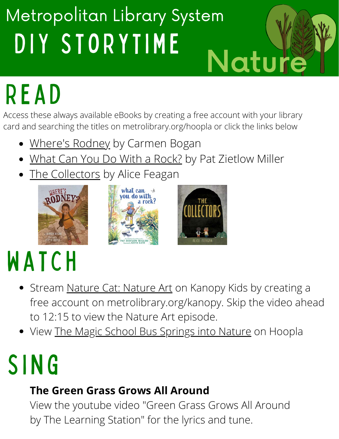### DIY STORYTIME Metropolitan Library System Nature

# R e a d

Access these always available eBooks by creating a free account with your library card and searching the titles on metrolibrary.org/hoopla or click the links below

- [Where's Rodney](https://www.hoopladigital.com/title/14002002) by Carmen Bogan
- [What Can You Do With a Rock?](https://www.hoopladigital.com/title/14443062) by Pat Zietlow Miller
- [The Collectors](https://www.hoopladigital.com/title/14237859) by Alice Feagan







# **WATCH**

- Stream [Nature Cat: Nature Art](https://metrolibrary.kanopy.com/video/lights-out-sea-turtlesnature-art) on Kanopy Kids by creating a free account on metrolibrary.org/kanopy. Skip the video ahead to 12:15 to view the Nature Art episode.
- View [The Magic School Bus Springs into Nature](https://www.hoopladigital.com/title/12383477) on Hoopla

# **SING**

#### **The Green Grass Grows All Around**

View the youtube video "Green Grass Grows All Around by The Learning Station" for the lyrics and tune.